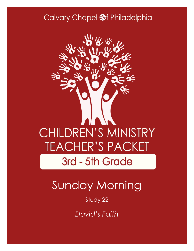### Calvary Chapel @f Philadelphia



# Sunday Morning

### Study 22

*David's Faith*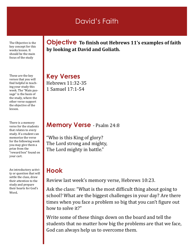### David's Faith

The Objective is the key concept for this weeks lesson. It should be the main focus of the study

These are the key verses that you will find helpful in teaching your study this week. The "Main passage" is the basis of the study, where the other verse support the objective of the lesson.

There is a memory verse for the students that relates to every study. If a student can memorize the verse for the following week you may give them a prize from the "reward box" found on your cart.

An introductory activity or question that will settle the class, draw their attention to the study and prepare their hearts for God's Word.

**Objective To finish out Hebrews 11's examples of faith by looking at David and Goliath.**

**Key Verses** Hebrews 11:32-35 1 Samuel 17:1-54

#### **Memory Verse** - Psalm 24:8

"Who is this King of glory? The Lord strong and mighty, The Lord mighty in battle."

### **Hook**

Review last week's memory verse, Hebrews 10:23.

Ask the class: "What is the most difficult thing about going to school? What are the biggest challenges in your day? Are there times when you face a problem so big that you can't figure out how to solve it?"

Write some of these things down on the board and tell the students that no matter how big the problems are that we face, God can always help us to overcome them.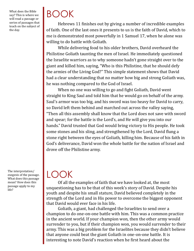What does the Bible say? This is where we will read a passage or series of passages that teach on the subject of the day.

# BOOK

Hebrews 11 finishes out by giving a number of incredible examples of faith. One of the last ones it presents to us is the faith of David, which to me is demonstrated most powerfully in 1 Samuel 17, when he alone was willing to do battle with Goliath.

While delivering food to his older brothers, David overheard the Philistine Goliath taunting the men of Israel. He immediately questioned the Israelite warriors as to why someone hadn't gone straight over to the giant and killed him, saying, "Who is this Philistine, that he should defy the armies of the Living God?" This simple statement shows that David had a clear understanding that no matter how big and strong Goliath was, he was nothing compared to the God of Israel.

When no one was willing to go and fight Goliath, David went straight to King Saul and told him that he would go on behalf of the army. Saul's armor was too big, and his sword was too heavy for David to carry, so David left them behind and marched out across the valley saying, "Then all this assembly shall know that the Lord does not save with sword and spear; for the battle is the Lord's, and He will give you into our hands." David trusted that God would bring victory to His people. He took some stones and his sling, and strengthened by the Lord, David flung a stone right between the eyes of Goliath, killing him. Because of his faith in God's deliverance, David won the whole battle for the nation of Israel and drove off the Philistine army.

The interpretation/ exegesis of the passage. What does this passage mean? How does this passage apply to my life?

### LOOK

Of all the examples of faith that we have looked at, the most unquestioning has to be that of this week's story of David. Despite his youth and despite his small stature, David believed completely in the strength of the Lord and in His power to overcome the biggest opponent that David would ever face in his life.

Goliath, a giant, had challenged the Israelites to send over a champion to do one-on-one battle with him. This was a common practice in the ancient world. If your champion won, then the other army would surrender to you, but if their champion won, you would surrender to their army. This was a big problem for the Israelites because they didn't believe that anyone could beat the giant Goliath in one-on-one battle. It is interesting to note David's reaction when he first heard about the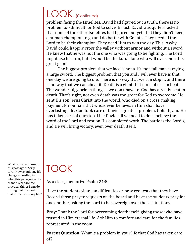# LOOK (Continued)

problem facing the Israelites. David had figured out a truth: there is no problem too difficult for God to solve. In fact, David was quite shocked that none of the other Israelites had figured out yet, that they didn't need a human champion to go and do battle with Goliath. They needed the Lord to be their champion. They need Him to win the day. This is why David could happily cross the valley without armor and without a sword. He knew that he was not the one who was going to be fighting. The Lord might use his arm, but it would be the Lord alone who will overcome this great giant.

The biggest problem that we face is not a 10-foot-tall man carrying a large sword. The biggest problem that you and I will ever have is that one day we are going to die. There is no way that we can stop it, and there is no way that we can cheat it. Death is a giant that none of us can beat. The wonderful, glorious thing is, we don't have to. God has already beaten death. That's right, not even death was too great for God to overcome. He sent His son Jesus Christ into the world, who died on a cross, making payment for our sin, that whosoever believes in Him shall have everlasting life. God took care of David's greatest problem, Goliath, and He has taken care of ours too. Like David, all we need to do is believe the word of the Lord and rest on His completed work. The battle is the Lord's, and He will bring victory, even over death itself.

What is my response to this passage of Scripture? How should my life change according to what this passage teaches me? What are the practical things I can do throughout the week to make this true in my life?

# TOOK

As a class, memorize Psalm 24:8.

Have the students share an difficulties or pray requests that they have. Record those prayer requests on the board and have the students pray for one another, asking the Lord to be sovereign over those situations.

**Pray:** Thank the Lord for overcoming death itself, giving those who have trusted in Him eternal life. Ask Him to comfort and care for the families represented in the room.

**Parent Question:** What is a problem in your life that God has taken care of?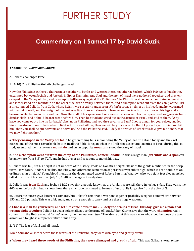## FURTHER STUDY

### **Commentary on 1 Samuel 17 by David Guzik**

#### *1 Samuel 17 - David and Goliath*

A. Goliath challenges Israel.

1. (1-10) The Philistine Goliath challenges Israel.

Now the Philistines gathered their armies together to battle, and were gathered together at Sochoh, which *belongs* to Judah; they encamped between Sochoh and Azekah, in Ephes Dammim. And Saul and the men of Israel were gathered together, and they encamped in the Valley of Elah, and drew up in battle array against the Philistines. The Philistines stood on a mountain on one side, and Israel stood on a mountain on the other side, with a valley between them. And a champion went out from the camp of the Philistines, named Goliath, from Gath, whose height *was* six cubits and a span. *He had* a bronze helmet on his head, and he *was* armed with a coat of mail, and the weight of the coat *was* five thousand shekels of bronze. And *he had* bronze armor on his legs and a bronze javelin between his shoulders. Now the staff of his spear *was* like a weaver's beam, and his iron spearhead *weighed* six hundred shekels; and a shield-bearer went before him. Then he stood and cried out to the armies of Israel, and said to them, "Why have you come out to line up for battle? *Am* I not a Philistine, and you the servants of Saul? Choose a man for yourselves, and let him come down to me. If he is able to fight with me and kill me, then we will be your servants. But if I prevail against him and kill him, then you shall be our servants and serve us." And the Philistine said, "I defy the armies of Israel this day; give me a man, that we may fight together."

a. **They encamped in the Valley of Elah**: The green rolling hills surrounding the Valley of Elah still stand today and they witnessed one of the most remarkable battles in all the Bible. It began when the Philistines, constant enemies of Israel during this period, assembled their army on a **mountain** and on an opposite **mountain** stood the army of Israel.

b. **And a champion went out from the camp of the Philistines, named Goliath**: He was a large man (**six cubits and a span** can be anywhere from 8'5" to 9'2"), and he had armor and weapons to match his size.

i. Goliath was tall, but his height is not unheard of in history. Poole on Goliath's height: "Besides the giants mentioned in the Scriptures, Herodotus, Diodorus Siculus, and Pliny, and others, make mention of persons seven cubits high, which is near double to an ordinary man's height." Youngblood mentions the documented case of Robert Pershing Wadlow, who was eight feet eleven inches tall at the time of his death on July 15, 1940, at the age of twenty-two.

ii. Goliath was **from Gath** and Joshua 11:22 says that a people known as the Anakim were still there in Joshua's day. That was some 400 years before this, but it shows how there may have continued to be men of unusually large size from the city of Gath.

iii. Different sources give different estimates, but Goliath's armor and weapons together probably weighed somewhere between 150 and 200 pounds. This was a big man, and strong enough to carry and use these huge weapons.

c. **Choose a man for yourselves, and let him come down to me . . . I defy the armies of Israel this day; give me a man, that we may fight together**: Goliath issued a bold challenge to the army of Israel. Adam Clarke says that the word **champion** really comes from the Hebrew word, "a *middle man*, the *man between two*." The idea is that this was a man who stood between the two armies and fought as a representative of his army.

2. (11) The fear of Saul and all Israel.

When Saul and all Israel heard these words of the Philistine, they were dismayed and greatly afraid.

a. **When they heard these words of the Philistine, they were dismayed and greatly afraid**: This was Goliath's *exact inten-*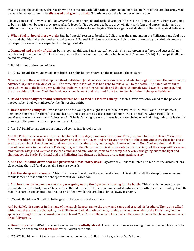*tion* in issuing the challenge. The reason why he came out with full battle equipment and paraded in front of the Israelite army was because he *wanted* them to be **dismayed and greatly afraid**. Goliath defeated the Israelites on fear alone.

i. In any contest, it's always useful to *demoralize* your opponent and strike *fear* in their heart. First, it may keep you from ever going to battle with them because they are so afraid. Second, if it does come to battle they will fight with fear and apprehension and so with your words, you've done a lot to win the battle before it even begins. This is a significant strategy of the devil against believers.

b. **When Saul . . . heard these words**: Saul had special reason to be afraid. Goliath was the giant among the Philistines and Saul was head and shoulder taller than other Israelite men (1 Samuel 9:2). Saul was the logical choice to square off against Goliath, and we can expect he knew others expected him to fight Goliath.

c. **Dismayed and greatly afraid**: As battle loomed, this was Saul's state. At one time he was known as a fierce and successful military leader (1 Samuel 14:52). But that was before the Spirit of the LORD departed from Saul (1 Samuel 16:14). As the Spirit left Saul so did his courage.

B. David comes to the camp of Israel.

1. (12-15) David, the youngest of eight brothers, splits his time between the palace and the pasture.

Now David *was* the son of that Ephrathite of Bethlehem Judah, whose name *was* Jesse, and who had eight sons. And the man was old, advanced *in years*, in the days of Saul. The three oldest sons of Jesse had gone to follow Saul to the battle. The names of his three sons who went to the battle *were* Eliab the firstborn, next to him Abinadab, and the third Shammah. David *was* the youngest. And the three oldest followed Saul. But David occasionally went and returned from Saul to feed his father's sheep at Bethlehem.

a. **David occasionally went and returned from Saul to feed his father's sheep**: It seems David was only called to the palace as needed, when Saul was afflicted by the distressing spirit.

b. **David was the youngest**: David is said to be the youngest of eight sons of Jesse. Yet Psalm 89:27 calls David God's *firstborn*, demonstrating that "firstborn" is as much a title and a concept as a description of birth order. Therefore, when Paul calls Jesus *firstborn over all creation* in Colossians 1:15, he isn't trying to say that Jesus is a created being who had a beginning. He is simply pointing to the prominence and preeminence of Jesus.

2. (16-21) David brings gifts from home and comes into Israel's camp.

And the Philistine drew near and presented himself forty days, morning and evening. Then Jesse said to his son David, "Take now for your brothers an ephah of this dried*grain* and these ten loaves, and run to your brothers at the camp. And carry these ten cheeses to the captain of *their* thousand, and see how your brothers fare, and bring back news of them." Now Saul and they and all the men of Israel *were* in the Valley of Elah, fighting with the Philistines. So David rose early in the morning, left the sheep with a keeper, and took *the things* and went as Jesse had commanded him. And he came to the camp as the army was going out to the fight and shouting for the battle. For Israel and the Philistines had drawn up in battle array, army against army.

a. **And the Philistine drew near and presented himself forty days**: Day after day, Goliath taunted and mocked the armies of Israel, exposing them all (and especially Saul) as cowards.

b. **Left the sheep with a keeper**: This little observation shows the shepherd's heart of David. If he left the sheep to run an errand for his father he made sure the sheep were still well cared for.

c. **And he came to the camp as the army was going out to the fight and shouting for the battle**: This must have been the approximate scene for forty days. The armies gathered on each hillside, screaming and shouting at each other across the valley. Goliath made his parade and shouted his insults, and after a while the Israelites slinked away in shame.

3. (22-24) David sees Goliath's challenge and the fear of Israel's soldiers.

And David left his supplies in the hand of the supply keeper, ran to the army, and came and greeted his brothers. Then as he talked with them, there was the champion, the Philistine of Gath, Goliath by name, coming up from the armies of the Philistines; and he spoke according to the same words. So David heard *them*. And all the men of Israel, when they saw the man, fled from him and were dreadfully afraid.

a. **Dreadfully afraid**: *All* of the Israelite army was **dreadfully afraid**. There was not one man among them who would take on Goliath. Every one of them **fled from him** when Goliath came out.

4. (25-27) David *hears* of Saul's reward to the man who beats Goliath, but he *speaks* of God's honor.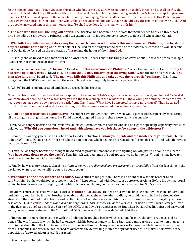So the men of Israel said, "Have you seen this man who has come up? Surely he has come up to defy Israel; and it shall be *that* the man who kills him the king will enrich with great riches, will give him his daughter, and give his father's house exemption *from taxes* in Israel." Then David spoke to the men who stood by him, saying, "What shall be done for the man who kills this Philistine and takes away the reproach from Israel? For who *is* this uncircumcised Philistine, that he should defy the armies of the living God?" And the people answered him in this manner, saying, "So shall it be done for the man who kills him."

a. **The man who kills him, the king will enrich**: The situation had become so desperate that Saul needed to offer a three-part bribe including a cash award, a princess, and a tax exemption - to induce someone, *anyone* to fight and win against Goliath.

b. **Who kills this Philistine and takes away the reproach from Israel . . . who is this uncircumcised Philistine, that he should defy the armies of the living God?** Other soldiers focused on the *danger* of the battle or the *material rewards* to be won. It seems that David alone focused on the reputation of **Israel** and the honor of the **living God**.

i. This truly shows David to be a man after God's own heart. He cares about the things God cares about. He saw the problem in spiritual terms, not in material or fleshly terms.

ii. When the men of Israel said, "**This man**," David said, "**This uncircumcised Philistine**." When the men of Israel said, "**Surely he has come up to defy Israel**," David said, "**That he should defy the armies of the living God**." When the men of Israel said, "**The man who kills him**," David said, "**The man who kills this Philistine and takes away the reproach from Israel**." David saw things from the LORD's perspective, but the men of Israel saw things only from man's perspective.

5. (28-30) David is misunderstood and falsely accused by his brother.

Now Eliab his oldest brother heard when he spoke to the men; and Eliab's anger was aroused against David, and he said, "Why did you come down here? And with whom have you left those few sheep in the wilderness? I know your pride and the insolence of your heart, for you have come down to see the battle." And David said, "What have I done now? *Is there* not a cause?" Then he turned from him toward another and said the same thing; and these people answered him as the first ones *did*.

a. **Eliab's anger was aroused against David**: We might have thought that David's visit would please Eliab, especially considering all the things he brought from home. But David's words angered Eliab and there were many reasons why.

i. First, he was angry because he felt David was an insignificant, worthless person who had no right to speak up, especially with such bold words (**Why did you come down here? And with whom have you left those few sheep in the wilderness?**).

ii. Second, he was angry because he *felt* he knew David's motivation (**I know your pride and the insolence of your heart**), but he didn't *really* know David's heart. "Here he taketh upon him that which belongeth to God alone (Jeremiah 17:10), and judgeth David's heart by his own." (Trapp)

iii. Third, he was angry because he thought David tried to provoke someone *else* into fighting Goliath just so he could see a battle (**you have come down to see the battle**). Eliab himself was a tall man of good appearance (1 Samuel 16:7), and he may have felt David was trying to push *him* into battle.

iv. Finally, he was angry because *David was right!* When you are *dismayed and greatly afraid* or *dreadfully afraid*, the last thing in the world you want is someone telling you to be courageous.

b. **What have I done now? Is there not a cause?** David stuck to his position. There is no doubt that what his brother Eliab said *hurt* him, but he would not let it *hinder* him. David kept concerned with God's cause before everything. Before his own personal safety, before his own personal glory, before his only personal honor, he had a passionate concern for God's **cause**.

i. David was more concerned with God's cause (**Is there not a cause?**) than with his own feelings. When David was misunderstood and publicly rebuked by his own brother, probably amid the laughs of the other soldiers, he could have quit. But he showed the strength of the armor of God in his life and replied rightly. He didn't care about his glory or success, but only for the glory and success of the LORD's **cause**. *Goliath was a dead man right then. This is where the battle was won.* If Eliab's hurtful words can get David in the flesh and out of step with the Spirit of the LORD, then David's strength is gone. But when David ruled his spirit and answered softly, he was more in step with the Spirit of theLORD than ever. Goliath was defeated right then.

ii. "Immediately before the encounter with the Philistine he fought a battle which cost him far more thought, prudence, and patience. The word-battle in which he had to engage with his brothers and with king Saul, was a more trying ordeal to him than going forth in the strength of the Lord to smite the uncircumcised boaster. Many a man meets with more trouble from his friends than from his enemies; and when he has learned to overcome the depressing influence of prudent friends, he makes short work of the opposition of avowed adversaries." (Spurgeon)

C. David prepares to fight Goliath.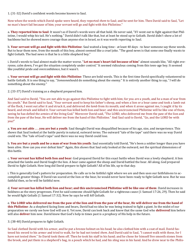1. (31-32) David's confident words become known to Saul.

Now when the words which David spoke were heard, they reported *them* to Saul; and he sent for him. Then David said to Saul, "Let no man's heart fail because of him; your servant will go and fight with this Philistine."

a. **They reported him to Saul**: It wasn't as if David's words were all that bold. He never said, "If I went out to fight against that Philistine, I would whip his tail. He's nothing." David didn't talk like that, but at least he stood up to Goliath. David didn't show a lot of backbone but he showed more courage than anyone else in Israel, so it was worth reporting to Saul.

b. **Your servant will go and fight with this Philistine**: Saul waited a long time - at least 40 days - to hear someone say these words. But to hear them now, from the mouth of this boy, almost seemed like a cruel joke. "The good news is that some one finally wants to fight Goliath. The bad news is that he is a little shepherd boy."

i. David's words to Saul almost made the matter worse. "**Let no man's heart fail because of him**" almost sounds like, "All right everyone, calm down, I've got the situation completely under control." It seemed ridiculous coming from this teen-age boy. It seemed like youthful pride and overconfidence, but it wasn't.

c. **Your servant will go and fight with this Philistine**: These are bold words. This is the first time David specifically volunteered to battle Goliath. It is one thing to say, "*Someone*should do something about the enemy." It is entirely another thing to say, "*I* will do something about the enemy."

2. (33-37) David's training as a shepherd prepared him.

And Saul said to David, "You are not able to go against this Philistine to fight with him; for you *are* a youth, and he a man of war from his youth." But David said to Saul, "Your servant used to keep his father's sheep, and when a lion or a bear came and took a lamb out of the flock, I went out after it and struck it, and delivered *the lamb* from its mouth; and when it arose against me, I caught *it* by its beard, and struck and killed it. Your servant has killed both lion and bear; and this uncircumcised Philistine will be like one of them, seeing he has defied the armies of the living God." Moreover David said, "The LORD, who delivered me from the paw of the lion and from the paw of the bear, He will deliver me from the hand of this Philistine." And Saul said to David, "Go, and the LORD be with you!"

a. **You are not able . . . you are but a youth**: Saul thought David was disqualified because of his age, size, and inexperience. This shows that Saul looked at the battle purely in natural, outward terms. The outward "tale of the tape" said there was no way David could win. The "tale of God's tape" said there was no way David could lose.

b. **You are but a youth and he a man of war from his youth**: Saul essentially told David, "He's been a soldier longer than you have been alive. How can you ever defeat him?" Again, this shows that Saul only looked at the outward, not the spiritual dimensions of this battle.

c. **Your servant has killed both lion and bear**: God prepared David for this exact battle when David was a lowly shepherd. A lion attacked the lambs and David fought the lion. A bear came against the sheep and David battled the bear. All along, God prepared David to fight Goliath. How long did David prepare to fight Goliath? All of his life, up to that day.

i. This is generally God's pattern for preparation. He calls us to be faithful right where we are and then uses our faithfulness to accomplish greater things. If David ran scared at the lion or the bear, he would never have been ready to fight Goliath now. But he was faithful then, so he will be faithful now.

d. **Your servant has killed both lion and bear; and this uncircumcised Philistine will be like one of them**: David increases in boldness as the story progresses. First he said someone *should* fight Goliath for a righteous cause (1 Samuel 17:26, 29). Then he said he *would* fight Goliath (1 Samuel 17:32). Now he says he will *kill* Goliath.

e. **The LORD who delivered me from the paw of the lion and from the paw of the bear, He will deliver me from the hand of this Philistine**: As a shepherd facing lions and bears, David had no idea he was being trained to fight a giant. In the midst of our preparation we rarely see how God will use it. Yet now, David can look back and know that the same God who **delivered** him before will also **deliver** him now. David knew that God's help in times past is a prophecy of His help in the future.

3. (38-40) David prepares to fight Goliath.

So Saul clothed David with his armor, and he put a bronze helmet on his head; he also clothed him with a coat of mail. David fastened his sword to his armor and tried to walk, for he had not tested *them*. And David said to Saul, "I cannot walk with these, for I have not tested *them*." So David took them off. Then he took his staff in his hand; and he chose for himself five smooth stones from the brook, and put them in a shepherd's bag, in a pouch which he had, and his sling was in his hand. And he drew near to the Philis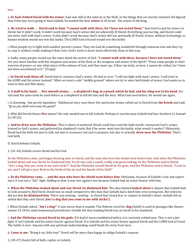tine.

a. **So Saul clothed David with his armor**: Saul was still in the natural, in the flesh, in the things that are merely outward. He figured that if this boy were going to beat Goliath, he needed the best **armor** in all Israel - the armor of the king.

b. **He tried to walk . . . David said to Saul, "I cannot walk with these, for I have not tested them."** Saul tried to put his armor on David, but it didn't work. It didn't work because Saul's armor did not *physically fit* David. Everything was too big, and David could not move well with Saul's armor. It also didn't work because Saul's armor did not *spiritually fit* David. Armor, military technology, or human wisdom would not win this battle. The LORD God of Israel would win this battle.

i. Often people try to fight with another person's armor. They see God do something wonderful through someone else and they try to copy it without really making it their own. God's work is never most effectively done in this way.

ii. Sadly, many people would say the same about the armor of God: "**I cannot walk with these, because I have not tested them**." Are you more familiar with the weapons and armor of the flesh or the weapons and armor of the Spirit? "Press some people to their exercise of prayer, or any other piece of the armour of God, and they must say, if they say truly, as here, I cannot do withal, for I have not been accustomed to it." (Trapp)

c. **So David took them off**: David had to *renounce* Saul's armor. He had to vow, "I will not fight with man's armor. I will trust in the LORD and His armor instead." Often we want a safe "middle ground" where we try to wear both kinds of armor. God wants us to trust in Him and Him alone.

d. **A staff in his hand . . . five smooth stones . . . a shepherd's bag, in a pouch which he had, and his sling was in his hand**: David used the same tools he used before as a shepherd to kill the lion and the bear. What God used before, He would use again.

i. A charming - but purely legendary - Rabbinical story says these five particular stones called out to David from **the brook** and said, "*By us you shall overcome the giant!*"

ii. Why did David choose **five** stones? He only needed one to kill Goliath. Perhaps it was because Goliath had four brothers (1 Samuel 21:18-22).

e. **And he drew near the Philistine**: This is where it mattered. David could have said the bold words, renounced Saul's armor, trusted in God's armor, and gathered his shepherd's tools. But if he never went into the battle, what would it matter? Ultimately, David had the faith not just to talk, not just to renounce, not just to prepare, but also to actually **draw near the Philistine**. That's real faith.

D. David defeats Goliath.

1. (41-44) Goliath curses David and his God.

So the Philistine came, and began drawing near to David, and the man who bore the shield went before him. And when the Philistine looked about and saw David, he disdained him; for he was *only* a youth, ruddy and good-looking. So the Philistine said to David, "*Am* I a dog, that you come to me with sticks?" And the Philistine cursed David by his gods. And the Philistine said to David, "Come to me, and I will give your flesh to the birds of the air and the beasts of the field!"

a. **So the Philistine came . . . and the man who bore the shield went before him**: Obviously, because of Goliath's size and experience, it was not a "fair" fight. Adding to that, it was two against one because Goliath had an armor bearer with him.

b. **When the Philistine looked about and saw David, he disdained him**: The idea behind **looked about** is almost that Goliath had to look around to *find* David. David was so small compared to this man that Goliath had a hard time even seeing him. But when he did see him **he disdained him**. There was nothing - *nothing* - in David that struck fear or respect in Goliath's heart. Goliath felt insulted that they sent David (**Am I a dog that you come to me with sticks?**).

i. When Goliath asked, "**Am I a dog**?" it was worse than it sounds. The Hebrew word for **dog** (*kaleb*) is used in passages like Deuteronomy 23:18 for male homosexual prostitutes. Goliath felt that sending David was an insult to his manhood.

c. **And the Philistine cursed David by his gods**: If it hadn't been established before, it is certainly settled now. This *is not a fair fight*. It isn't Goliath and his armor bearer against David. It is Goliath and his armor bearer against David and the LORD God of Israel. The battle is over. Anyone with any spiritual understanding could finish the story from here.

d. **Come to me**: "Bring it on, little boy!" David will be more than happy to oblige Goliath's request.

2. (45-47) David, full of faith, replies to Goliath.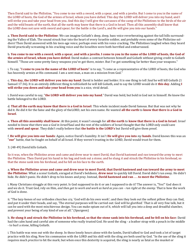Then David said to the Philistine, "You come to me with a sword, with a spear, and with a javelin. But I come to you in the name of the LORD of hosts, the God of the armies of Israel, whom you have defied. This day the LORD will deliver you into my hand, and I will strike you and take your head from you. And this day I will give the carcasses of the camp of the Philistines to the birds of the air and the wild beasts of the earth, that all the earth may know that there is a God in Israel. Then all this assembly shall know that the LORD does not save with sword and spear; for the battle *is* the Lord's, and He will give you into our hands."

a. **Then David said to the Philistine**: We can imagine Goliath's deep, deep, bass voice reverberating against the tall hills surrounding the Valley of Elah. The sound struck fear into the heart of every Israelite soldier, and probably even some of the Philistine soldiers! Then David answered with his teen-age voice; perhaps even with his voice cracking. The Philistines laughed when they heard David practically screaming in his cracking voice and the Israelites were both horrified and embarrassed.

b. **You come to me with a sword, with a spear, and with a javelin. I come to you in the name of the LORD of hosts, the God of the armies of Israel, whom you have defied**: David makes a contrast between himself and Goliath without giving credit to Goliath himself. "Those are some pretty fancy weapons you've got there, mister. But I've got something far better than your weapons."

i. To say, "**I come to you in the name of the LORD of hosts**" is to say, "I come as a representative of the LORD of hosts, the God who has heavenly armies at His command. I am a sent man, a man on a mission from God."

c. **This day, the LORD will deliver you into my hand**: David is bolder and bolder. It is one thing to tell *Saul* he will kill Goliath (1 Samuel 17:36). It is an entirely different thing to tell*Goliath* he will kill Goliath, and to say the LORD would do it **this day**. Adding **I will strike you down and take your head from you** is a nice, vivid detail.

i. David was careful to say, "**the LORD will deliver you into my hand**." David was bold, but bold in God not in himself. He knew the battle belonged to the LORD.

d. **That all the earth may know that there is a God in Israel**: This whole incident made David famous. But that was not why he did it. He did it for the fame and the glory of theLORD, not his own name. He wanted **all the earth** to **know that there is a God in Israel**.

e. **Then all this assembly shall know**: At this point, it wasn't enough for **all the earth** to **know that there is a God in Israel**. *Israel needed to know that there was a God in Israel!*Saul and the rest of the soldiers of Israel thought that the LORD only could save with **sword and spear**. They didn't really believe that **the battle is the LORD's** but David will give them proof.

f. **He will give you into our hands**: Again, notice David's humility. It isn't **He will give you into** *my* **hands**. David knows this was an "**our**" battle, that he fought on behalf of all Israel. If they weren't trusting in the LORD, David would trust for them.

3. (48-49) David kills Goliath.

So it was, when the Philistine arose and came and drew near to meet David, that David hastened and ran toward the army to meet the Philistine. Then David put his hand in his bag and took out a stone; and he slung *it* and struck the Philistine in his forehead, so that the stone sank into his forehead, and he fell on his face to the earth.

a. **When the Philistine arose and came and drew near to meet David, that David hastened and ran toward the army to meet the Philistine**: What a scene! Goliath, enraged at David's boldness, **drew near** to quickly kill David. David didn't run away. He didn't hide. He didn't panic. He didn't drop to his knees and pray. Instead, **David hastened and ran . . . to meet the Philistine**.

i. Many Christians struggle at this very point. Is God supposed to do it or am I supposed to do it? The answer is, "Yes!" God does it and we do it. Trust God, rely on Him, *and then get to work and work as hard as you can -run right at the enemy*. That is how the work of God is done.

ii. "The lazy-bones of our orthodox churches cry, 'God will do his own work'; and then they look out the softest pillow they can find, and put it under their heads, and say, 'The eternal purposes will be carried out: God will be glorified.' That is all very fine talk, but it can be used with the most mischievous design. You can make opium out of it, which will lull you into a deep and dreadful slumber, and prevent your being of any kind of use at all." (Spurgeon)

b. **He slung it and struck the Philistine in his forehead, so that the stone sank into his forehead, and he fell on his face**: David had the calm hand and careful aim of someone who really trusted God. He used the sling - a leather strap with a pouch in the middle - to hurl a stone, killing Goliath.

i. This battle was won out with the sheep. In those lonely hours alone with the lambs, David talked to God and took a lot of target practice with his sling. Now his communion with the LORD and his skill with the sling are both used by God. "In the use of the sling it requires much *practice* to hit the mark; but when once this dexterity is acquired, the sling is nearly as fatal as the musket or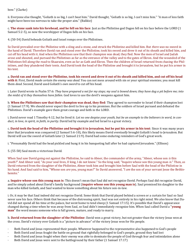bow." (Clarke)

ii. Everyone else thought, "Goliath is so big, I can't beat him." David thought, "Goliath is so big, I can't miss him." "A man of less faith might have been too nervous to take the proper aim." (Balikie)

c. **The stone sank into his forehead, and he fell on his face**: Just as the Philistine god Dagon fell on his face before the LORD (1 Samuel 5:2-5), so now the worshipper of Dagon falls on his face.

4. (50-54) David beheads Goliath and Israel romps over the Philistines.

So David prevailed over the Philistine with a sling and a stone, and struck the Philistine and killed him. But *there was* no sword in the hand of David. Therefore David ran and stood over the Philistine, took his sword and drew it out of its sheath and killed him, and cut off his head with it. And when the Philistines saw that their champion was dead, they fled. Now the men of Israel and Judah arose and shouted, and pursued the Philistines as far as the entrance of the valley and to the gates of Ekron. And the wounded of the Philistines fell along the road to Shaaraim, even as far as Gath and Ekron. Then the children of Israel returned from chasing the Philistines, and they plundered their tents. And David took the head of the Philistine and brought it to Jerusalem, but he put his armor in his tent.

a. **David ran and stood over the Philistine, took his sword and drew it out of its sheath and killed him, and cut off his head with it**: First, David *made certain the enemy was dead*. You can not mess around with sin or your spiritual enemies; you must kill them *dead*. Second, David used Goliath's *own sword* to cut off his head.

i. Later David wrote in Psalm 57:6: *They have prepared a net for my steps; my soul is bowed down; they have dug a pit before me; into the midst of it they themselves have fallen*. God loves to use the devil's weapons against him.

b. **When the Philistines saw that their champion was dead, they fled**: They agreed to surrender to Israel if their champion lost (1 Samuel 17:9). We should never expect the devil to live up to his promises. But the soldiers of Israel pursued and defeated the Philistines. David's example gave them great courage and faith in the LORD.

i. David never read 1 Timothy 4:12, but he lived it: *Let no one despise your youth, but be an example to the believers in word, in conduct, in love, in spirit, in faith, in purity*. David led by example and led Israel to a great victory.

c. **David took the head of the Philistine and brought it to Jerusalem, but he put his armor in his tent**: Since it was many years later that Jerusalem was conquered (2 Samuel 5:6-10), this likely means David *eventually* brought Goliath's head to Jerusalem. But David will use the sword of Goliath later (1 Samuel 21:9). David had some enduring reminders of God's great work.

i. "Presumably David had the head pickled and hung it in his banqueting hall after he had captured Jerusalem." (Ellison)

5. (55-58) Saul meets a victorious David.

When Saul saw David going out against the Philistine, he said to Abner, the commander of the army, "Abner, whose son *is* this youth?" And Abner said, "As your soul lives, O king, I do not know." So the king said, "Inquire whose son this young man *is*." Then, as David returned from the slaughter of the Philistine, Abner took him and brought him before Saul with the head of the Philistine in his hand. And Saul said to him, "Whose son *are* you, young man?" So David answered, "I *am* the son of your servant Jesse the Bethlehemite."

a. **Inquire whose son this young man is**: This doesn't mean that Saul did not recognize David. Perhaps Saul did recognize David, and he simply asked about David's family background (**inquire whose son this young man is**). Saul promised his daughter to the man who killed Goliath, and Saul wanted to know something about his future son-in-law.

i. Or, it may be that Saul indeed did not recognize David. Some think that David played behind a screen or a curtain for Saul so Saul never saw his face. Others think that because of the distressing spirit, Saul was not entirely in his right mind. We also know that David did not spend all his time at the palace, but went home to tend sheep (1 Samuel 17:15). It's possible that David's appearance changed during a time when he was away from Saul, so Saul didn't immediately recognize him. When Saul called David a "**young man**" the word means someone who is full grown, mature, and ready to marry.

b. **David returned from the slaughter of the Philistine**: David won a great victory, but not greater than the victory Jesus won at the cross. David's victory over Goliath is a "picture in advance" of the victory Jesus won for His people.

- Both David and Jesus represented their people. Whatever happened to the representative also happened to God's people
- Both David and Jesus fought the battle on ground that rightfully belonged to God's people, ground they had lost
- Both David and Jesus fought when their enemy was able to dominate the people of God through fear and intimidation alone
- · Both David and Jesus were sent to the battleground by their father (1 Samuel 17:17)